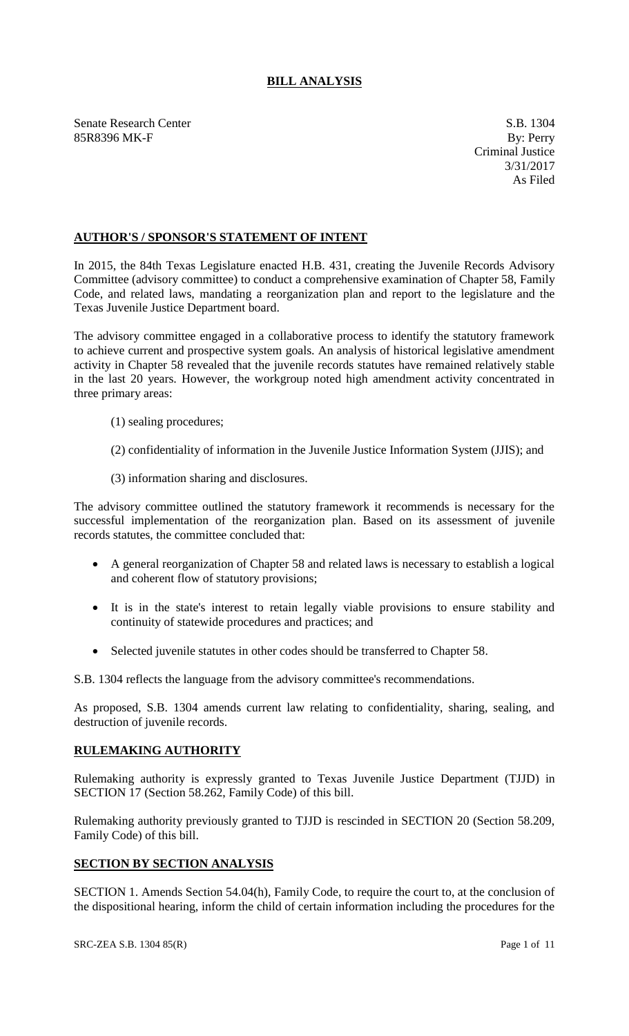## **BILL ANALYSIS**

Senate Research Center S.B. 1304 85R8396 MK-F By: Perry

#### **AUTHOR'S / SPONSOR'S STATEMENT OF INTENT**

In 2015, the 84th Texas Legislature enacted H.B. 431, creating the Juvenile Records Advisory Committee (advisory committee) to conduct a comprehensive examination of Chapter 58, Family Code, and related laws, mandating a reorganization plan and report to the legislature and the Texas Juvenile Justice Department board.

The advisory committee engaged in a collaborative process to identify the statutory framework to achieve current and prospective system goals. An analysis of historical legislative amendment activity in Chapter 58 revealed that the juvenile records statutes have remained relatively stable in the last 20 years. However, the workgroup noted high amendment activity concentrated in three primary areas:

- (1) sealing procedures;
- (2) confidentiality of information in the Juvenile Justice Information System (JJIS); and
- (3) information sharing and disclosures.

The advisory committee outlined the statutory framework it recommends is necessary for the successful implementation of the reorganization plan. Based on its assessment of juvenile records statutes, the committee concluded that:

- A general reorganization of Chapter 58 and related laws is necessary to establish a logical and coherent flow of statutory provisions;
- It is in the state's interest to retain legally viable provisions to ensure stability and continuity of statewide procedures and practices; and
- Selected juvenile statutes in other codes should be transferred to Chapter 58.

S.B. 1304 reflects the language from the advisory committee's recommendations.

As proposed, S.B. 1304 amends current law relating to confidentiality, sharing, sealing, and destruction of juvenile records.

#### **RULEMAKING AUTHORITY**

Rulemaking authority is expressly granted to Texas Juvenile Justice Department (TJJD) in SECTION 17 (Section 58.262, Family Code) of this bill.

Rulemaking authority previously granted to TJJD is rescinded in SECTION 20 (Section 58.209, Family Code) of this bill.

# **SECTION BY SECTION ANALYSIS**

SECTION 1. Amends Section 54.04(h), Family Code, to require the court to, at the conclusion of the dispositional hearing, inform the child of certain information including the procedures for the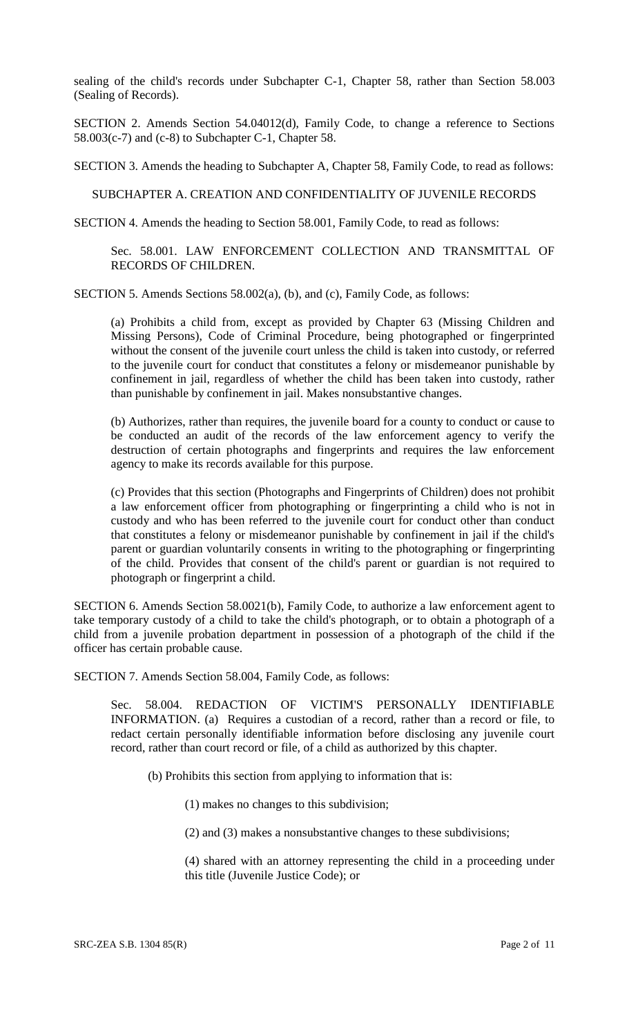sealing of the child's records under Subchapter C-1, Chapter 58, rather than Section 58.003 (Sealing of Records).

SECTION 2. Amends Section 54.04012(d), Family Code, to change a reference to Sections  $58.003(c-7)$  and  $(c-8)$  to Subchapter C-1, Chapter 58.

SECTION 3. Amends the heading to Subchapter A, Chapter 58, Family Code, to read as follows:

### SUBCHAPTER A. CREATION AND CONFIDENTIALITY OF JUVENILE RECORDS

SECTION 4. Amends the heading to Section 58.001, Family Code, to read as follows:

Sec. 58.001. LAW ENFORCEMENT COLLECTION AND TRANSMITTAL OF RECORDS OF CHILDREN.

SECTION 5. Amends Sections 58.002(a), (b), and (c), Family Code, as follows:

(a) Prohibits a child from, except as provided by Chapter 63 (Missing Children and Missing Persons), Code of Criminal Procedure, being photographed or fingerprinted without the consent of the juvenile court unless the child is taken into custody, or referred to the juvenile court for conduct that constitutes a felony or misdemeanor punishable by confinement in jail, regardless of whether the child has been taken into custody, rather than punishable by confinement in jail. Makes nonsubstantive changes.

(b) Authorizes, rather than requires, the juvenile board for a county to conduct or cause to be conducted an audit of the records of the law enforcement agency to verify the destruction of certain photographs and fingerprints and requires the law enforcement agency to make its records available for this purpose.

(c) Provides that this section (Photographs and Fingerprints of Children) does not prohibit a law enforcement officer from photographing or fingerprinting a child who is not in custody and who has been referred to the juvenile court for conduct other than conduct that constitutes a felony or misdemeanor punishable by confinement in jail if the child's parent or guardian voluntarily consents in writing to the photographing or fingerprinting of the child. Provides that consent of the child's parent or guardian is not required to photograph or fingerprint a child.

SECTION 6. Amends Section 58.0021(b), Family Code, to authorize a law enforcement agent to take temporary custody of a child to take the child's photograph, or to obtain a photograph of a child from a juvenile probation department in possession of a photograph of the child if the officer has certain probable cause.

SECTION 7. Amends Section 58.004, Family Code, as follows:

Sec. 58.004. REDACTION OF VICTIM'S PERSONALLY IDENTIFIABLE INFORMATION. (a) Requires a custodian of a record, rather than a record or file, to redact certain personally identifiable information before disclosing any juvenile court record, rather than court record or file, of a child as authorized by this chapter.

(b) Prohibits this section from applying to information that is:

(1) makes no changes to this subdivision;

(2) and (3) makes a nonsubstantive changes to these subdivisions;

(4) shared with an attorney representing the child in a proceeding under this title (Juvenile Justice Code); or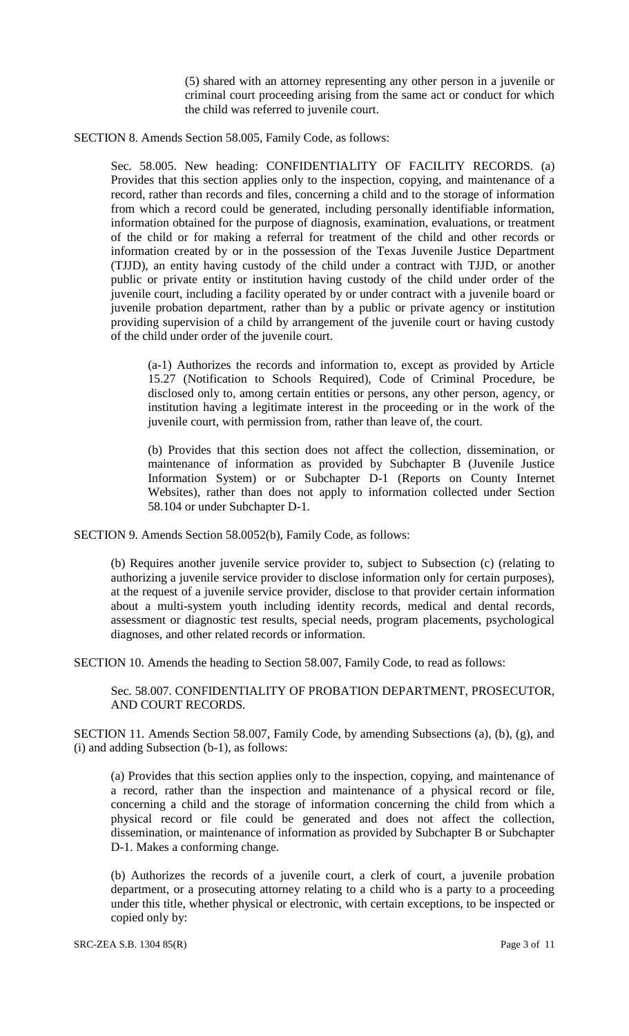(5) shared with an attorney representing any other person in a juvenile or criminal court proceeding arising from the same act or conduct for which the child was referred to juvenile court.

SECTION 8. Amends Section 58.005, Family Code, as follows:

Sec. 58.005. New heading: CONFIDENTIALITY OF FACILITY RECORDS. (a) Provides that this section applies only to the inspection, copying, and maintenance of a record, rather than records and files, concerning a child and to the storage of information from which a record could be generated, including personally identifiable information, information obtained for the purpose of diagnosis, examination, evaluations, or treatment of the child or for making a referral for treatment of the child and other records or information created by or in the possession of the Texas Juvenile Justice Department (TJJD), an entity having custody of the child under a contract with TJJD, or another public or private entity or institution having custody of the child under order of the juvenile court, including a facility operated by or under contract with a juvenile board or juvenile probation department, rather than by a public or private agency or institution providing supervision of a child by arrangement of the juvenile court or having custody of the child under order of the juvenile court.

(a-1) Authorizes the records and information to, except as provided by Article 15.27 (Notification to Schools Required), Code of Criminal Procedure, be disclosed only to, among certain entities or persons, any other person, agency, or institution having a legitimate interest in the proceeding or in the work of the juvenile court, with permission from, rather than leave of, the court.

(b) Provides that this section does not affect the collection, dissemination, or maintenance of information as provided by Subchapter B (Juvenile Justice Information System) or or Subchapter D-1 (Reports on County Internet Websites), rather than does not apply to information collected under Section 58.104 or under Subchapter D-1.

SECTION 9. Amends Section 58.0052(b), Family Code, as follows:

(b) Requires another juvenile service provider to, subject to Subsection (c) (relating to authorizing a juvenile service provider to disclose information only for certain purposes), at the request of a juvenile service provider, disclose to that provider certain information about a multi-system youth including identity records, medical and dental records, assessment or diagnostic test results, special needs, program placements, psychological diagnoses, and other related records or information.

SECTION 10. Amends the heading to Section 58.007, Family Code, to read as follows:

Sec. 58.007. CONFIDENTIALITY OF PROBATION DEPARTMENT, PROSECUTOR, AND COURT RECORDS.

SECTION 11. Amends Section 58.007, Family Code, by amending Subsections (a), (b), (g), and (i) and adding Subsection (b-1), as follows:

(a) Provides that this section applies only to the inspection, copying, and maintenance of a record, rather than the inspection and maintenance of a physical record or file, concerning a child and the storage of information concerning the child from which a physical record or file could be generated and does not affect the collection, dissemination, or maintenance of information as provided by Subchapter B or Subchapter D-1. Makes a conforming change.

(b) Authorizes the records of a juvenile court, a clerk of court, a juvenile probation department, or a prosecuting attorney relating to a child who is a party to a proceeding under this title, whether physical or electronic, with certain exceptions, to be inspected or copied only by: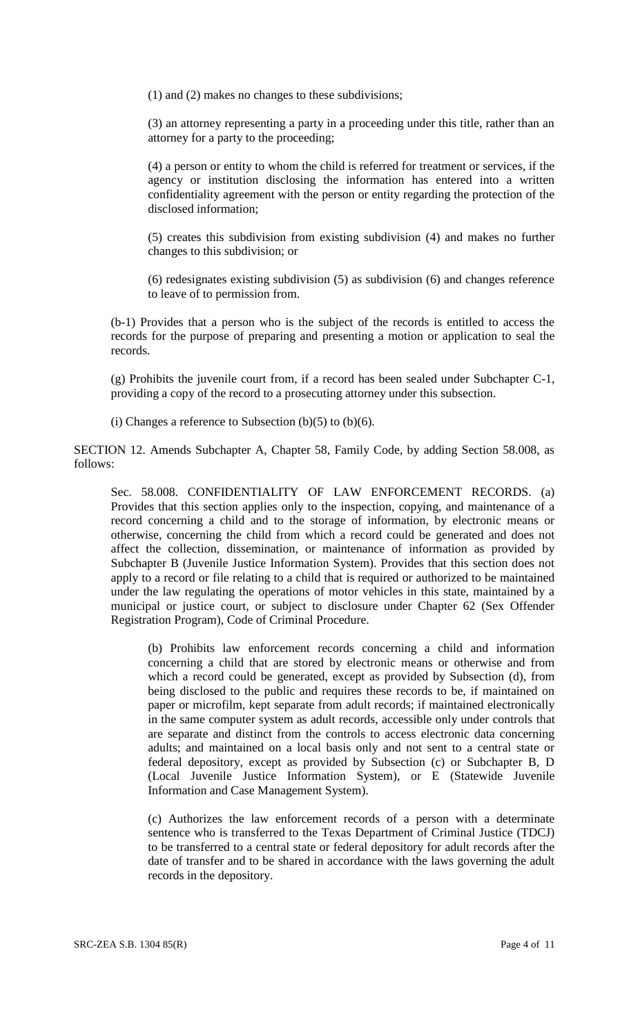(1) and (2) makes no changes to these subdivisions;

(3) an attorney representing a party in a proceeding under this title, rather than an attorney for a party to the proceeding;

(4) a person or entity to whom the child is referred for treatment or services, if the agency or institution disclosing the information has entered into a written confidentiality agreement with the person or entity regarding the protection of the disclosed information;

(5) creates this subdivision from existing subdivision (4) and makes no further changes to this subdivision; or

(6) redesignates existing subdivision (5) as subdivision (6) and changes reference to leave of to permission from.

(b-1) Provides that a person who is the subject of the records is entitled to access the records for the purpose of preparing and presenting a motion or application to seal the records.

(g) Prohibits the juvenile court from, if a record has been sealed under Subchapter C-1, providing a copy of the record to a prosecuting attorney under this subsection.

(i) Changes a reference to Subsection (b)(5) to (b)(6).

SECTION 12. Amends Subchapter A, Chapter 58, Family Code, by adding Section 58.008, as follows:

Sec. 58.008. CONFIDENTIALITY OF LAW ENFORCEMENT RECORDS. (a) Provides that this section applies only to the inspection, copying, and maintenance of a record concerning a child and to the storage of information, by electronic means or otherwise, concerning the child from which a record could be generated and does not affect the collection, dissemination, or maintenance of information as provided by Subchapter B (Juvenile Justice Information System). Provides that this section does not apply to a record or file relating to a child that is required or authorized to be maintained under the law regulating the operations of motor vehicles in this state, maintained by a municipal or justice court, or subject to disclosure under Chapter 62 (Sex Offender Registration Program), Code of Criminal Procedure.

(b) Prohibits law enforcement records concerning a child and information concerning a child that are stored by electronic means or otherwise and from which a record could be generated, except as provided by Subsection (d), from being disclosed to the public and requires these records to be, if maintained on paper or microfilm, kept separate from adult records; if maintained electronically in the same computer system as adult records, accessible only under controls that are separate and distinct from the controls to access electronic data concerning adults; and maintained on a local basis only and not sent to a central state or federal depository, except as provided by Subsection (c) or Subchapter B, D (Local Juvenile Justice Information System), or E (Statewide Juvenile Information and Case Management System).

(c) Authorizes the law enforcement records of a person with a determinate sentence who is transferred to the Texas Department of Criminal Justice (TDCJ) to be transferred to a central state or federal depository for adult records after the date of transfer and to be shared in accordance with the laws governing the adult records in the depository.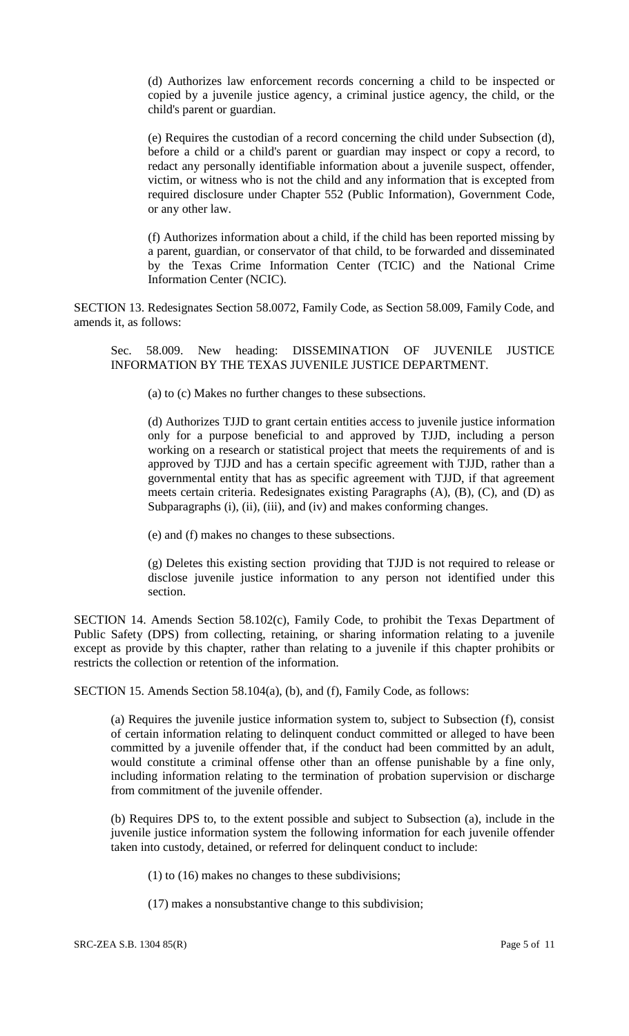(d) Authorizes law enforcement records concerning a child to be inspected or copied by a juvenile justice agency, a criminal justice agency, the child, or the child's parent or guardian.

(e) Requires the custodian of a record concerning the child under Subsection (d), before a child or a child's parent or guardian may inspect or copy a record, to redact any personally identifiable information about a juvenile suspect, offender, victim, or witness who is not the child and any information that is excepted from required disclosure under Chapter 552 (Public Information), Government Code, or any other law.

(f) Authorizes information about a child, if the child has been reported missing by a parent, guardian, or conservator of that child, to be forwarded and disseminated by the Texas Crime Information Center (TCIC) and the National Crime Information Center (NCIC).

SECTION 13. Redesignates Section 58.0072, Family Code, as Section 58.009, Family Code, and amends it, as follows:

Sec. 58.009. New heading: DISSEMINATION OF JUVENILE JUSTICE INFORMATION BY THE TEXAS JUVENILE JUSTICE DEPARTMENT.

(a) to (c) Makes no further changes to these subsections.

(d) Authorizes TJJD to grant certain entities access to juvenile justice information only for a purpose beneficial to and approved by TJJD, including a person working on a research or statistical project that meets the requirements of and is approved by TJJD and has a certain specific agreement with TJJD, rather than a governmental entity that has as specific agreement with TJJD, if that agreement meets certain criteria. Redesignates existing Paragraphs (A), (B), (C), and (D) as Subparagraphs (i), (ii), (iii), and (iv) and makes conforming changes.

(e) and (f) makes no changes to these subsections.

(g) Deletes this existing section providing that TJJD is not required to release or disclose juvenile justice information to any person not identified under this section.

SECTION 14. Amends Section 58.102(c), Family Code, to prohibit the Texas Department of Public Safety (DPS) from collecting, retaining, or sharing information relating to a juvenile except as provide by this chapter, rather than relating to a juvenile if this chapter prohibits or restricts the collection or retention of the information.

SECTION 15. Amends Section 58.104(a), (b), and (f), Family Code, as follows:

(a) Requires the juvenile justice information system to, subject to Subsection (f), consist of certain information relating to delinquent conduct committed or alleged to have been committed by a juvenile offender that, if the conduct had been committed by an adult, would constitute a criminal offense other than an offense punishable by a fine only, including information relating to the termination of probation supervision or discharge from commitment of the juvenile offender.

(b) Requires DPS to, to the extent possible and subject to Subsection (a), include in the juvenile justice information system the following information for each juvenile offender taken into custody, detained, or referred for delinquent conduct to include:

(1) to (16) makes no changes to these subdivisions;

(17) makes a nonsubstantive change to this subdivision;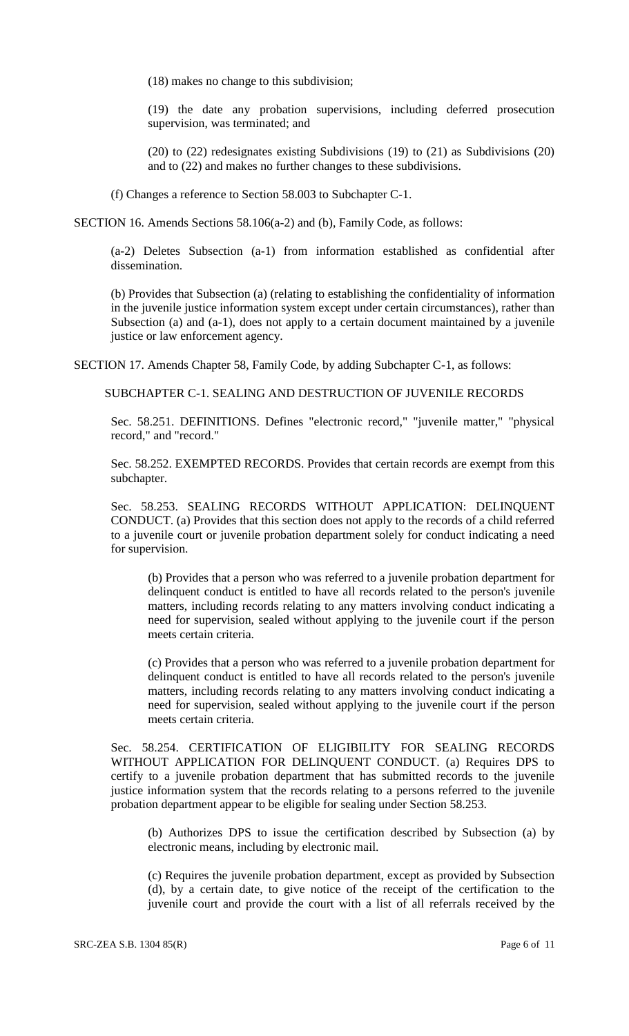(18) makes no change to this subdivision;

(19) the date any probation supervisions, including deferred prosecution supervision, was terminated; and

(20) to (22) redesignates existing Subdivisions (19) to (21) as Subdivisions (20) and to (22) and makes no further changes to these subdivisions.

(f) Changes a reference to Section 58.003 to Subchapter C-1.

SECTION 16. Amends Sections 58.106(a-2) and (b), Family Code, as follows:

(a-2) Deletes Subsection (a-1) from information established as confidential after dissemination.

(b) Provides that Subsection (a) (relating to establishing the confidentiality of information in the juvenile justice information system except under certain circumstances), rather than Subsection (a) and (a-1), does not apply to a certain document maintained by a juvenile justice or law enforcement agency.

SECTION 17. Amends Chapter 58, Family Code, by adding Subchapter C-1, as follows:

SUBCHAPTER C-1. SEALING AND DESTRUCTION OF JUVENILE RECORDS

Sec. 58.251. DEFINITIONS. Defines "electronic record," "juvenile matter," "physical record," and "record."

Sec. 58.252. EXEMPTED RECORDS. Provides that certain records are exempt from this subchapter.

Sec. 58.253. SEALING RECORDS WITHOUT APPLICATION: DELINQUENT CONDUCT. (a) Provides that this section does not apply to the records of a child referred to a juvenile court or juvenile probation department solely for conduct indicating a need for supervision.

(b) Provides that a person who was referred to a juvenile probation department for delinquent conduct is entitled to have all records related to the person's juvenile matters, including records relating to any matters involving conduct indicating a need for supervision, sealed without applying to the juvenile court if the person meets certain criteria.

(c) Provides that a person who was referred to a juvenile probation department for delinquent conduct is entitled to have all records related to the person's juvenile matters, including records relating to any matters involving conduct indicating a need for supervision, sealed without applying to the juvenile court if the person meets certain criteria.

Sec. 58.254. CERTIFICATION OF ELIGIBILITY FOR SEALING RECORDS WITHOUT APPLICATION FOR DELINQUENT CONDUCT. (a) Requires DPS to certify to a juvenile probation department that has submitted records to the juvenile justice information system that the records relating to a persons referred to the juvenile probation department appear to be eligible for sealing under Section 58.253.

(b) Authorizes DPS to issue the certification described by Subsection (a) by electronic means, including by electronic mail.

(c) Requires the juvenile probation department, except as provided by Subsection (d), by a certain date, to give notice of the receipt of the certification to the juvenile court and provide the court with a list of all referrals received by the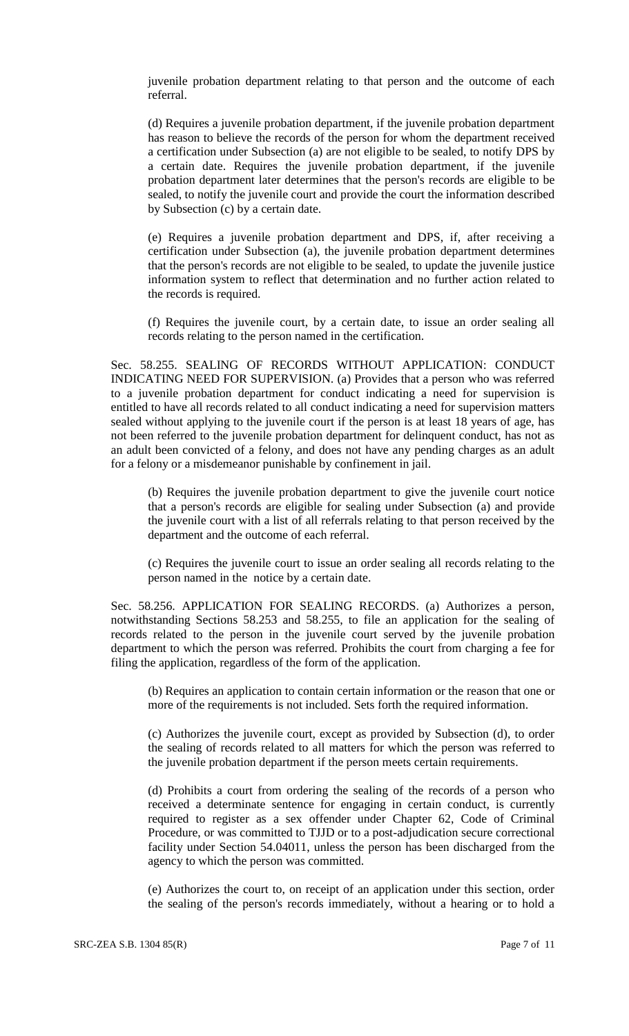juvenile probation department relating to that person and the outcome of each referral.

(d) Requires a juvenile probation department, if the juvenile probation department has reason to believe the records of the person for whom the department received a certification under Subsection (a) are not eligible to be sealed, to notify DPS by a certain date. Requires the juvenile probation department, if the juvenile probation department later determines that the person's records are eligible to be sealed, to notify the juvenile court and provide the court the information described by Subsection (c) by a certain date.

(e) Requires a juvenile probation department and DPS, if, after receiving a certification under Subsection (a), the juvenile probation department determines that the person's records are not eligible to be sealed, to update the juvenile justice information system to reflect that determination and no further action related to the records is required.

(f) Requires the juvenile court, by a certain date, to issue an order sealing all records relating to the person named in the certification.

Sec. 58.255. SEALING OF RECORDS WITHOUT APPLICATION: CONDUCT INDICATING NEED FOR SUPERVISION. (a) Provides that a person who was referred to a juvenile probation department for conduct indicating a need for supervision is entitled to have all records related to all conduct indicating a need for supervision matters sealed without applying to the juvenile court if the person is at least 18 years of age, has not been referred to the juvenile probation department for delinquent conduct, has not as an adult been convicted of a felony, and does not have any pending charges as an adult for a felony or a misdemeanor punishable by confinement in jail.

(b) Requires the juvenile probation department to give the juvenile court notice that a person's records are eligible for sealing under Subsection (a) and provide the juvenile court with a list of all referrals relating to that person received by the department and the outcome of each referral.

(c) Requires the juvenile court to issue an order sealing all records relating to the person named in the notice by a certain date.

Sec. 58.256. APPLICATION FOR SEALING RECORDS. (a) Authorizes a person, notwithstanding Sections 58.253 and 58.255, to file an application for the sealing of records related to the person in the juvenile court served by the juvenile probation department to which the person was referred. Prohibits the court from charging a fee for filing the application, regardless of the form of the application.

(b) Requires an application to contain certain information or the reason that one or more of the requirements is not included. Sets forth the required information.

(c) Authorizes the juvenile court, except as provided by Subsection (d), to order the sealing of records related to all matters for which the person was referred to the juvenile probation department if the person meets certain requirements.

(d) Prohibits a court from ordering the sealing of the records of a person who received a determinate sentence for engaging in certain conduct, is currently required to register as a sex offender under Chapter 62, Code of Criminal Procedure, or was committed to TJJD or to a post-adjudication secure correctional facility under Section 54.04011, unless the person has been discharged from the agency to which the person was committed.

(e) Authorizes the court to, on receipt of an application under this section, order the sealing of the person's records immediately, without a hearing or to hold a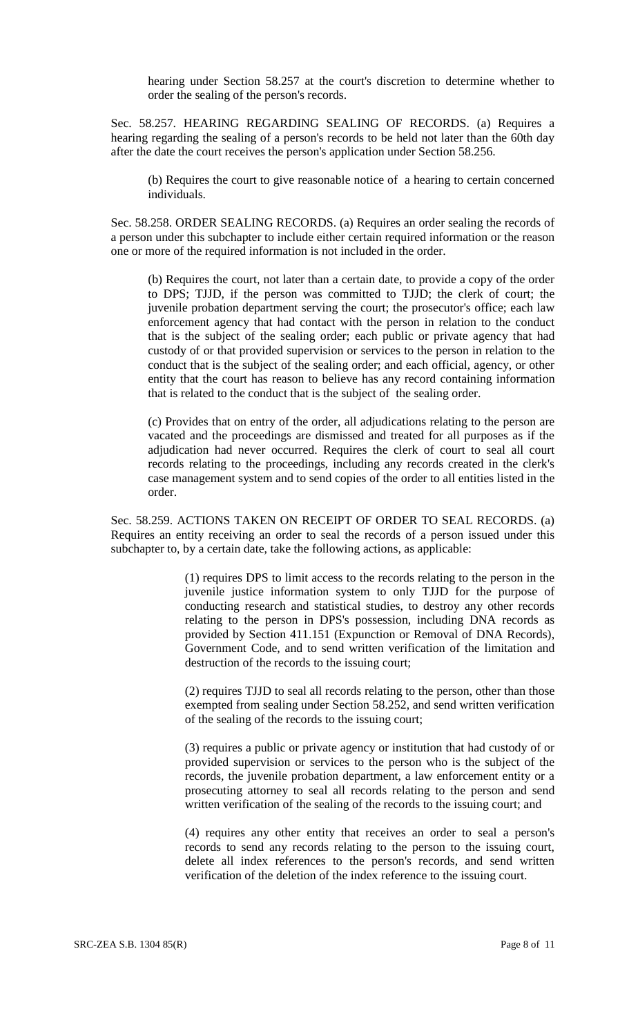hearing under Section 58.257 at the court's discretion to determine whether to order the sealing of the person's records.

Sec. 58.257. HEARING REGARDING SEALING OF RECORDS. (a) Requires a hearing regarding the sealing of a person's records to be held not later than the 60th day after the date the court receives the person's application under Section 58.256.

(b) Requires the court to give reasonable notice of a hearing to certain concerned individuals.

Sec. 58.258. ORDER SEALING RECORDS. (a) Requires an order sealing the records of a person under this subchapter to include either certain required information or the reason one or more of the required information is not included in the order.

(b) Requires the court, not later than a certain date, to provide a copy of the order to DPS; TJJD, if the person was committed to TJJD; the clerk of court; the juvenile probation department serving the court; the prosecutor's office; each law enforcement agency that had contact with the person in relation to the conduct that is the subject of the sealing order; each public or private agency that had custody of or that provided supervision or services to the person in relation to the conduct that is the subject of the sealing order; and each official, agency, or other entity that the court has reason to believe has any record containing information that is related to the conduct that is the subject of the sealing order.

(c) Provides that on entry of the order, all adjudications relating to the person are vacated and the proceedings are dismissed and treated for all purposes as if the adjudication had never occurred. Requires the clerk of court to seal all court records relating to the proceedings, including any records created in the clerk's case management system and to send copies of the order to all entities listed in the order.

Sec. 58.259. ACTIONS TAKEN ON RECEIPT OF ORDER TO SEAL RECORDS. (a) Requires an entity receiving an order to seal the records of a person issued under this subchapter to, by a certain date, take the following actions, as applicable:

> (1) requires DPS to limit access to the records relating to the person in the juvenile justice information system to only TJJD for the purpose of conducting research and statistical studies, to destroy any other records relating to the person in DPS's possession, including DNA records as provided by Section 411.151 (Expunction or Removal of DNA Records), Government Code, and to send written verification of the limitation and destruction of the records to the issuing court;

> (2) requires TJJD to seal all records relating to the person, other than those exempted from sealing under Section 58.252, and send written verification of the sealing of the records to the issuing court;

> (3) requires a public or private agency or institution that had custody of or provided supervision or services to the person who is the subject of the records, the juvenile probation department, a law enforcement entity or a prosecuting attorney to seal all records relating to the person and send written verification of the sealing of the records to the issuing court; and

> (4) requires any other entity that receives an order to seal a person's records to send any records relating to the person to the issuing court, delete all index references to the person's records, and send written verification of the deletion of the index reference to the issuing court.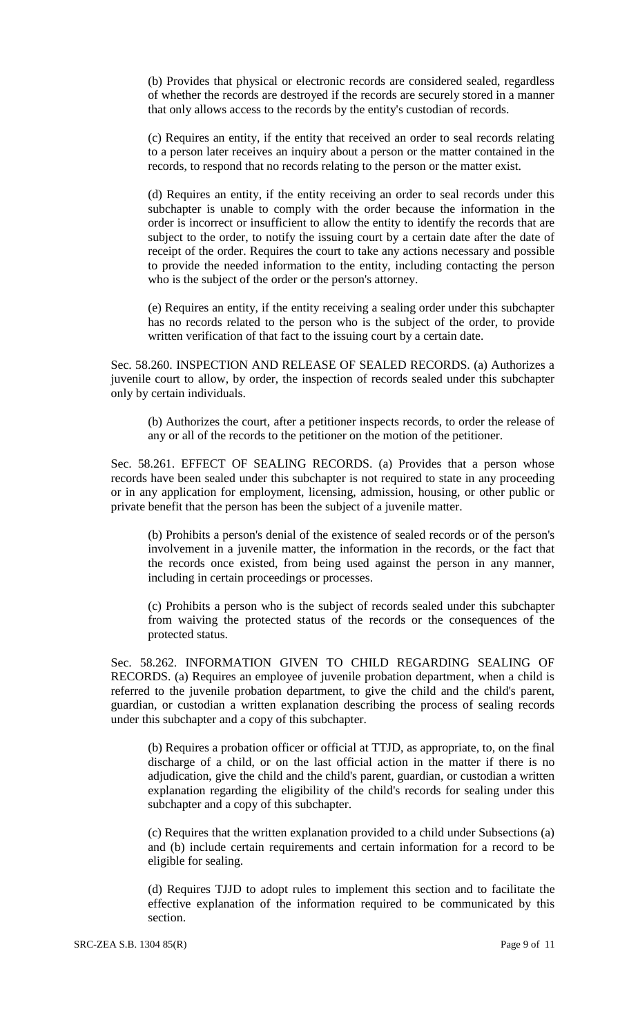(b) Provides that physical or electronic records are considered sealed, regardless of whether the records are destroyed if the records are securely stored in a manner that only allows access to the records by the entity's custodian of records.

(c) Requires an entity, if the entity that received an order to seal records relating to a person later receives an inquiry about a person or the matter contained in the records, to respond that no records relating to the person or the matter exist.

(d) Requires an entity, if the entity receiving an order to seal records under this subchapter is unable to comply with the order because the information in the order is incorrect or insufficient to allow the entity to identify the records that are subject to the order, to notify the issuing court by a certain date after the date of receipt of the order. Requires the court to take any actions necessary and possible to provide the needed information to the entity, including contacting the person who is the subject of the order or the person's attorney.

(e) Requires an entity, if the entity receiving a sealing order under this subchapter has no records related to the person who is the subject of the order, to provide written verification of that fact to the issuing court by a certain date.

Sec. 58.260. INSPECTION AND RELEASE OF SEALED RECORDS. (a) Authorizes a juvenile court to allow, by order, the inspection of records sealed under this subchapter only by certain individuals.

(b) Authorizes the court, after a petitioner inspects records, to order the release of any or all of the records to the petitioner on the motion of the petitioner.

Sec. 58.261. EFFECT OF SEALING RECORDS. (a) Provides that a person whose records have been sealed under this subchapter is not required to state in any proceeding or in any application for employment, licensing, admission, housing, or other public or private benefit that the person has been the subject of a juvenile matter.

(b) Prohibits a person's denial of the existence of sealed records or of the person's involvement in a juvenile matter, the information in the records, or the fact that the records once existed, from being used against the person in any manner, including in certain proceedings or processes.

(c) Prohibits a person who is the subject of records sealed under this subchapter from waiving the protected status of the records or the consequences of the protected status.

Sec. 58.262. INFORMATION GIVEN TO CHILD REGARDING SEALING OF RECORDS. (a) Requires an employee of juvenile probation department, when a child is referred to the juvenile probation department, to give the child and the child's parent, guardian, or custodian a written explanation describing the process of sealing records under this subchapter and a copy of this subchapter.

(b) Requires a probation officer or official at TTJD, as appropriate, to, on the final discharge of a child, or on the last official action in the matter if there is no adjudication, give the child and the child's parent, guardian, or custodian a written explanation regarding the eligibility of the child's records for sealing under this subchapter and a copy of this subchapter.

(c) Requires that the written explanation provided to a child under Subsections (a) and (b) include certain requirements and certain information for a record to be eligible for sealing.

(d) Requires TJJD to adopt rules to implement this section and to facilitate the effective explanation of the information required to be communicated by this section.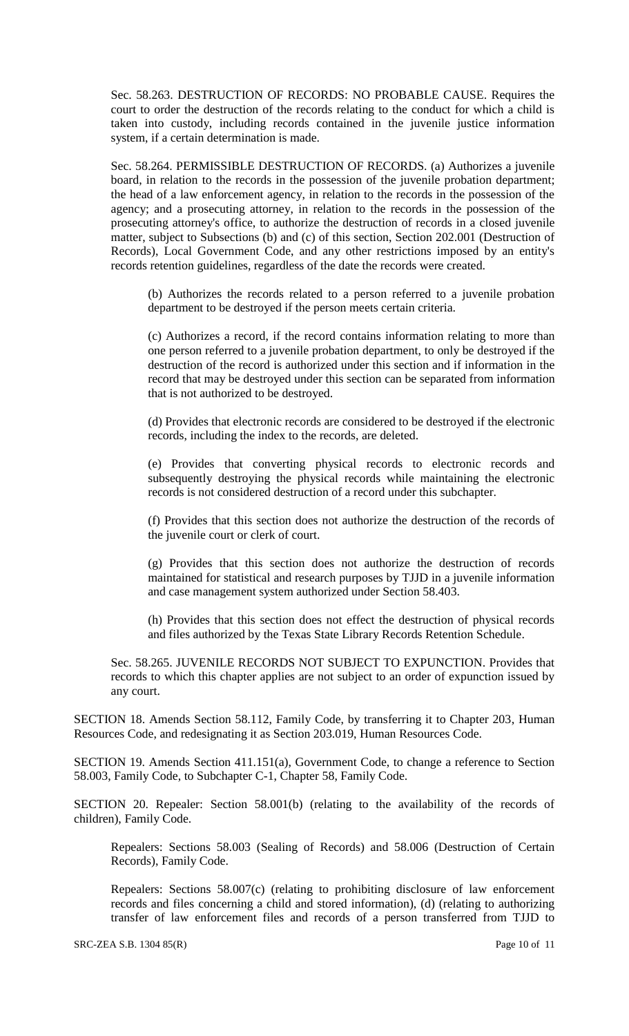Sec. 58.263. DESTRUCTION OF RECORDS: NO PROBABLE CAUSE. Requires the court to order the destruction of the records relating to the conduct for which a child is taken into custody, including records contained in the juvenile justice information system, if a certain determination is made.

Sec. 58.264. PERMISSIBLE DESTRUCTION OF RECORDS. (a) Authorizes a juvenile board, in relation to the records in the possession of the juvenile probation department; the head of a law enforcement agency, in relation to the records in the possession of the agency; and a prosecuting attorney, in relation to the records in the possession of the prosecuting attorney's office, to authorize the destruction of records in a closed juvenile matter, subject to Subsections (b) and (c) of this section, Section 202.001 (Destruction of Records), Local Government Code, and any other restrictions imposed by an entity's records retention guidelines, regardless of the date the records were created.

(b) Authorizes the records related to a person referred to a juvenile probation department to be destroyed if the person meets certain criteria.

(c) Authorizes a record, if the record contains information relating to more than one person referred to a juvenile probation department, to only be destroyed if the destruction of the record is authorized under this section and if information in the record that may be destroyed under this section can be separated from information that is not authorized to be destroyed.

(d) Provides that electronic records are considered to be destroyed if the electronic records, including the index to the records, are deleted.

(e) Provides that converting physical records to electronic records and subsequently destroying the physical records while maintaining the electronic records is not considered destruction of a record under this subchapter.

(f) Provides that this section does not authorize the destruction of the records of the juvenile court or clerk of court.

(g) Provides that this section does not authorize the destruction of records maintained for statistical and research purposes by TJJD in a juvenile information and case management system authorized under Section 58.403.

(h) Provides that this section does not effect the destruction of physical records and files authorized by the Texas State Library Records Retention Schedule.

Sec. 58.265. JUVENILE RECORDS NOT SUBJECT TO EXPUNCTION. Provides that records to which this chapter applies are not subject to an order of expunction issued by any court.

SECTION 18. Amends Section 58.112, Family Code, by transferring it to Chapter 203, Human Resources Code, and redesignating it as Section 203.019, Human Resources Code.

SECTION 19. Amends Section 411.151(a), Government Code, to change a reference to Section 58.003, Family Code, to Subchapter C-1, Chapter 58, Family Code.

SECTION 20. Repealer: Section 58.001(b) (relating to the availability of the records of children), Family Code.

Repealers: Sections 58.003 (Sealing of Records) and 58.006 (Destruction of Certain Records), Family Code.

Repealers: Sections 58.007(c) (relating to prohibiting disclosure of law enforcement records and files concerning a child and stored information), (d) (relating to authorizing transfer of law enforcement files and records of a person transferred from TJJD to